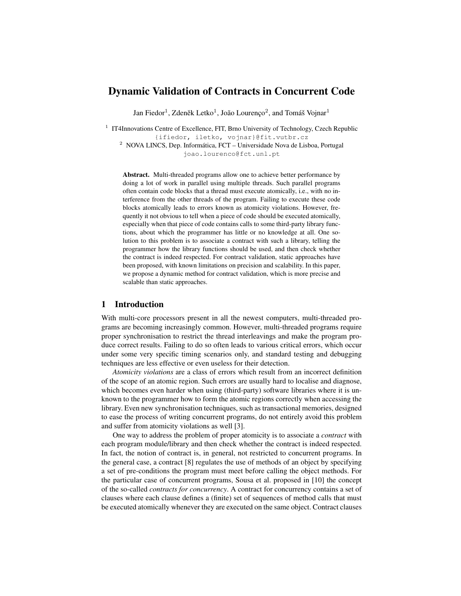# Dynamic Validation of Contracts in Concurrent Code

Jan Fiedor<sup>1</sup>, Zdeněk Letko<sup>1</sup>, João Lourenço<sup>2</sup>, and Tomáš Vojnar<sup>1</sup>

<sup>1</sup> IT4Innovations Centre of Excellence, FIT, Brno University of Technology, Czech Republic {ifiedor, iletko, vojnar}@fit.vutbr.cz

<sup>2</sup> NOVA LINCS, Dep. Informática, FCT – Universidade Nova de Lisboa, Portugal joao.lourenco@fct.unl.pt

Abstract. Multi-threaded programs allow one to achieve better performance by doing a lot of work in parallel using multiple threads. Such parallel programs often contain code blocks that a thread must execute atomically, i.e., with no interference from the other threads of the program. Failing to execute these code blocks atomically leads to errors known as atomicity violations. However, frequently it not obvious to tell when a piece of code should be executed atomically, especially when that piece of code contains calls to some third-party library functions, about which the programmer has little or no knowledge at all. One solution to this problem is to associate a contract with such a library, telling the programmer how the library functions should be used, and then check whether the contract is indeed respected. For contract validation, static approaches have been proposed, with known limitations on precision and scalability. In this paper, we propose a dynamic method for contract validation, which is more precise and scalable than static approaches.

## 1 Introduction

With multi-core processors present in all the newest computers, multi-threaded programs are becoming increasingly common. However, multi-threaded programs require proper synchronisation to restrict the thread interleavings and make the program produce correct results. Failing to do so often leads to various critical errors, which occur under some very specific timing scenarios only, and standard testing and debugging techniques are less effective or even useless for their detection.

*Atomicity violations* are a class of errors which result from an incorrect definition of the scope of an atomic region. Such errors are usually hard to localise and diagnose, which becomes even harder when using (third-party) software libraries where it is unknown to the programmer how to form the atomic regions correctly when accessing the library. Even new synchronisation techniques, such as transactional memories, designed to ease the process of writing concurrent programs, do not entirely avoid this problem and suffer from atomicity violations as well [3].

One way to address the problem of proper atomicity is to associate a *contract* with each program module/library and then check whether the contract is indeed respected. In fact, the notion of contract is, in general, not restricted to concurrent programs. In the general case, a contract [8] regulates the use of methods of an object by specifying a set of pre-conditions the program must meet before calling the object methods. For the particular case of concurrent programs, Sousa et al. proposed in [10] the concept of the so-called *contracts for concurrency*. A contract for concurrency contains a set of clauses where each clause defines a (finite) set of sequences of method calls that must be executed atomically whenever they are executed on the same object. Contract clauses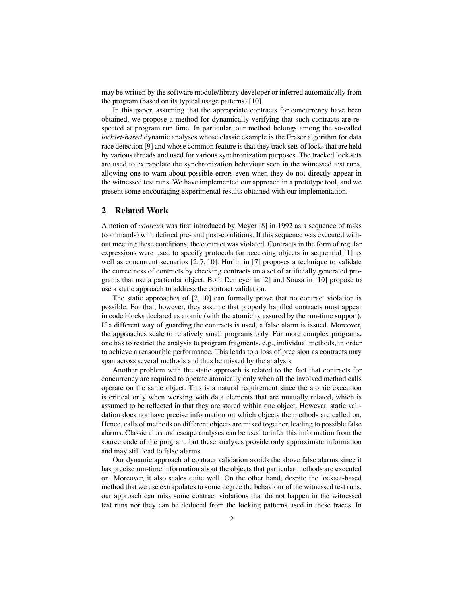may be written by the software module/library developer or inferred automatically from the program (based on its typical usage patterns) [10].

In this paper, assuming that the appropriate contracts for concurrency have been obtained, we propose a method for dynamically verifying that such contracts are respected at program run time. In particular, our method belongs among the so-called *lockset-based* dynamic analyses whose classic example is the Eraser algorithm for data race detection [9] and whose common feature is that they track sets of locks that are held by various threads and used for various synchronization purposes. The tracked lock sets are used to extrapolate the synchronization behaviour seen in the witnessed test runs, allowing one to warn about possible errors even when they do not directly appear in the witnessed test runs. We have implemented our approach in a prototype tool, and we present some encouraging experimental results obtained with our implementation.

# 2 Related Work

A notion of *contract* was first introduced by Meyer [8] in 1992 as a sequence of tasks (commands) with defined pre- and post-conditions. If this sequence was executed without meeting these conditions, the contract was violated. Contracts in the form of regular expressions were used to specify protocols for accessing objects in sequential [1] as well as concurrent scenarios  $[2, 7, 10]$ . Hurlin in [7] proposes a technique to validate the correctness of contracts by checking contracts on a set of artificially generated programs that use a particular object. Both Demeyer in [2] and Sousa in [10] propose to use a static approach to address the contract validation.

The static approaches of [2, 10] can formally prove that no contract violation is possible. For that, however, they assume that properly handled contracts must appear in code blocks declared as atomic (with the atomicity assured by the run-time support). If a different way of guarding the contracts is used, a false alarm is issued. Moreover, the approaches scale to relatively small programs only. For more complex programs, one has to restrict the analysis to program fragments, e.g., individual methods, in order to achieve a reasonable performance. This leads to a loss of precision as contracts may span across several methods and thus be missed by the analysis.

Another problem with the static approach is related to the fact that contracts for concurrency are required to operate atomically only when all the involved method calls operate on the same object. This is a natural requirement since the atomic execution is critical only when working with data elements that are mutually related, which is assumed to be reflected in that they are stored within one object. However, static validation does not have precise information on which objects the methods are called on. Hence, calls of methods on different objects are mixed together, leading to possible false alarms. Classic alias and escape analyses can be used to infer this information from the source code of the program, but these analyses provide only approximate information and may still lead to false alarms.

Our dynamic approach of contract validation avoids the above false alarms since it has precise run-time information about the objects that particular methods are executed on. Moreover, it also scales quite well. On the other hand, despite the lockset-based method that we use extrapolates to some degree the behaviour of the witnessed test runs, our approach can miss some contract violations that do not happen in the witnessed test runs nor they can be deduced from the locking patterns used in these traces. In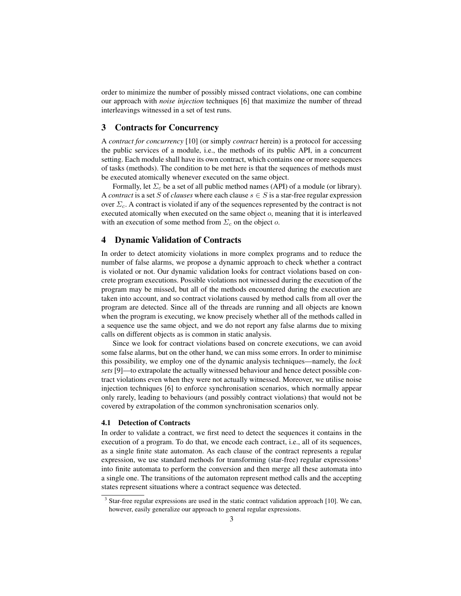order to minimize the number of possibly missed contract violations, one can combine our approach with *noise injection* techniques [6] that maximize the number of thread interleavings witnessed in a set of test runs.

# 3 Contracts for Concurrency

A *contract for concurrency* [10] (or simply *contract* herein) is a protocol for accessing the public services of a module, i.e., the methods of its public API, in a concurrent setting. Each module shall have its own contract, which contains one or more sequences of tasks (methods). The condition to be met here is that the sequences of methods must be executed atomically whenever executed on the same object.

Formally, let  $\Sigma_c$  be a set of all public method names (API) of a module (or library). A *contract* is a set S of *clauses* where each clause  $s \in S$  is a star-free regular expression over  $\Sigma_c$ . A contract is violated if any of the sequences represented by the contract is not executed atomically when executed on the same object  $o$ , meaning that it is interleaved with an execution of some method from  $\Sigma_c$  on the object o.

# 4 Dynamic Validation of Contracts

In order to detect atomicity violations in more complex programs and to reduce the number of false alarms, we propose a dynamic approach to check whether a contract is violated or not. Our dynamic validation looks for contract violations based on concrete program executions. Possible violations not witnessed during the execution of the program may be missed, but all of the methods encountered during the execution are taken into account, and so contract violations caused by method calls from all over the program are detected. Since all of the threads are running and all objects are known when the program is executing, we know precisely whether all of the methods called in a sequence use the same object, and we do not report any false alarms due to mixing calls on different objects as is common in static analysis.

Since we look for contract violations based on concrete executions, we can avoid some false alarms, but on the other hand, we can miss some errors. In order to minimise this possibility, we employ one of the dynamic analysis techniques—namely, the *lock sets* [9]—to extrapolate the actually witnessed behaviour and hence detect possible contract violations even when they were not actually witnessed. Moreover, we utilise noise injection techniques [6] to enforce synchronisation scenarios, which normally appear only rarely, leading to behaviours (and possibly contract violations) that would not be covered by extrapolation of the common synchronisation scenarios only.

### 4.1 Detection of Contracts

In order to validate a contract, we first need to detect the sequences it contains in the execution of a program. To do that, we encode each contract, i.e., all of its sequences, as a single finite state automaton. As each clause of the contract represents a regular expression, we use standard methods for transforming (star-free) regular expressions<sup>3</sup> into finite automata to perform the conversion and then merge all these automata into a single one. The transitions of the automaton represent method calls and the accepting states represent situations where a contract sequence was detected.

 $3$  Star-free regular expressions are used in the static contract validation approach [10]. We can, however, easily generalize our approach to general regular expressions.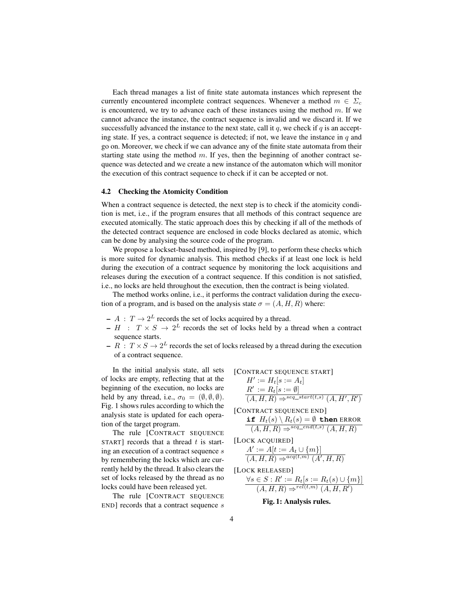Each thread manages a list of finite state automata instances which represent the currently encountered incomplete contract sequences. Whenever a method  $m \in \Sigma_c$ is encountered, we try to advance each of these instances using the method  $m$ . If we cannot advance the instance, the contract sequence is invalid and we discard it. If we successfully advanced the instance to the next state, call it q, we check if  $q$  is an accepting state. If yes, a contract sequence is detected; if not, we leave the instance in  $q$  and go on. Moreover, we check if we can advance any of the finite state automata from their starting state using the method  $m$ . If yes, then the beginning of another contract sequence was detected and we create a new instance of the automaton which will monitor the execution of this contract sequence to check if it can be accepted or not.

#### 4.2 Checking the Atomicity Condition

When a contract sequence is detected, the next step is to check if the atomicity condition is met, i.e., if the program ensures that all methods of this contract sequence are executed atomically. The static approach does this by checking if all of the methods of the detected contract sequence are enclosed in code blocks declared as atomic, which can be done by analysing the source code of the program.

We propose a lockset-based method, inspired by [9], to perform these checks which is more suited for dynamic analysis. This method checks if at least one lock is held during the execution of a contract sequence by monitoring the lock acquisitions and releases during the execution of a contract sequence. If this condition is not satisfied, i.e., no locks are held throughout the execution, then the contract is being violated.

The method works online, i.e., it performs the contract validation during the execution of a program, and is based on the analysis state  $\sigma = (A, H, R)$  where:

- $-A$ :  $T \rightarrow 2^L$  records the set of locks acquired by a thread.
- $H : T \times S \rightarrow 2^L$  records the set of locks held by a thread when a contract sequence starts.
- $-R: T \times S \rightarrow 2^L$  records the set of locks released by a thread during the execution of a contract sequence.

In the initial analysis state, all sets of locks are empty, reflecting that at the beginning of the execution, no locks are held by any thread, i.e.,  $\sigma_0 = (\emptyset, \emptyset, \emptyset)$ . Fig. 1 shows rules according to which the analysis state is updated for each operation of the target program.

The rule [CONTRACT SEQUENCE START] records that a thread  $t$  is starting an execution of a contract sequence s by remembering the locks which are currently held by the thread. It also clears the set of locks released by the thread as no locks could have been released yet.

The rule [CONTRACT SEQUENCE END] records that a contract sequence s

[CONTRACT SEQUENCE START]  
\n
$$
H' := H_t[s := A_t]
$$
  
\n $R' := R_t[s := \emptyset]$   
\n $(A, H, R) \Rightarrow^{seq\_start(t, s)} (A, H', R')$   
\n[CONTRACT SEQUENCE END]

$$
\frac{\textbf{if } H_t(s) \setminus R_t(s) = \emptyset \text{ then ERROR}}{(A, H, R) \Rightarrow^{seq\_end(t, s)} (A, H, R)}
$$

[LOCK ACQUIRED]  $A' := A[t := A_t \cup \{m\}]$  $(A, H, R) \Rightarrow^{acq(t,m)} (A', H, R)$ 

[LOCK RELEASED]  $\forall s \in S : R' := R_t[s := R_t(s) \cup \{m\}]$  $(A, H, R) \Rightarrow^{rel(t,m)} (A, H, R')$ 

Fig. 1: Analysis rules.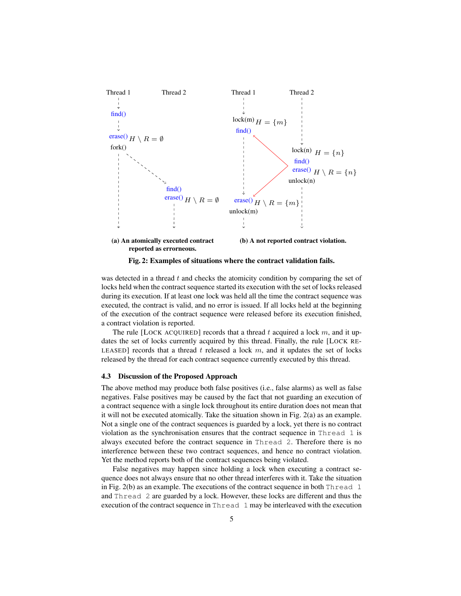

Fig. 2: Examples of situations where the contract validation fails.

was detected in a thread  $t$  and checks the atomicity condition by comparing the set of locks held when the contract sequence started its execution with the set of locks released during its execution. If at least one lock was held all the time the contract sequence was executed, the contract is valid, and no error is issued. If all locks held at the beginning of the execution of the contract sequence were released before its execution finished, a contract violation is reported.

The rule [LOCK ACQUIRED] records that a thread t acquired a lock  $m$ , and it updates the set of locks currently acquired by this thread. Finally, the rule [LOCK RE-LEASED] records that a thread  $t$  released a lock  $m$ , and it updates the set of locks released by the thread for each contract sequence currently executed by this thread.

### 4.3 Discussion of the Proposed Approach

The above method may produce both false positives (i.e., false alarms) as well as false negatives. False positives may be caused by the fact that not guarding an execution of a contract sequence with a single lock throughout its entire duration does not mean that it will not be executed atomically. Take the situation shown in Fig. 2(a) as an example. Not a single one of the contract sequences is guarded by a lock, yet there is no contract violation as the synchronisation ensures that the contract sequence in Thread 1 is always executed before the contract sequence in Thread 2. Therefore there is no interference between these two contract sequences, and hence no contract violation. Yet the method reports both of the contract sequences being violated.

False negatives may happen since holding a lock when executing a contract sequence does not always ensure that no other thread interferes with it. Take the situation in Fig.  $2(b)$  as an example. The executions of the contract sequence in both Thread 1 and Thread 2 are guarded by a lock. However, these locks are different and thus the execution of the contract sequence in Thread 1 may be interleaved with the execution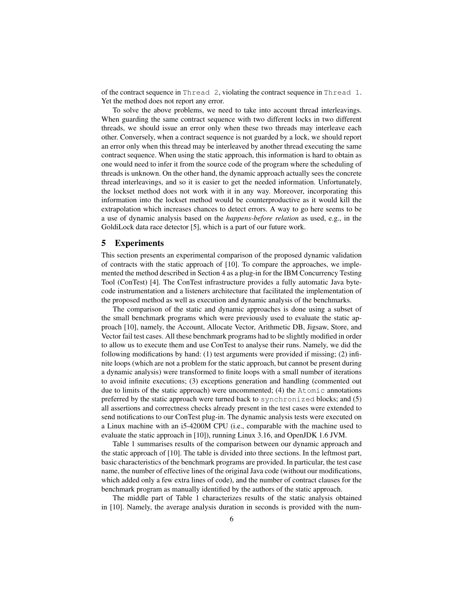of the contract sequence in Thread 2, violating the contract sequence in Thread 1. Yet the method does not report any error.

To solve the above problems, we need to take into account thread interleavings. When guarding the same contract sequence with two different locks in two different threads, we should issue an error only when these two threads may interleave each other. Conversely, when a contract sequence is not guarded by a lock, we should report an error only when this thread may be interleaved by another thread executing the same contract sequence. When using the static approach, this information is hard to obtain as one would need to infer it from the source code of the program where the scheduling of threads is unknown. On the other hand, the dynamic approach actually sees the concrete thread interleavings, and so it is easier to get the needed information. Unfortunately, the lockset method does not work with it in any way. Moreover, incorporating this information into the lockset method would be counterproductive as it would kill the extrapolation which increases chances to detect errors. A way to go here seems to be a use of dynamic analysis based on the *happens-before relation* as used, e.g., in the GoldiLock data race detector [5], which is a part of our future work.

### 5 Experiments

This section presents an experimental comparison of the proposed dynamic validation of contracts with the static approach of [10]. To compare the approaches, we implemented the method described in Section 4 as a plug-in for the IBM Concurrency Testing Tool (ConTest) [4]. The ConTest infrastructure provides a fully automatic Java bytecode instrumentation and a listeners architecture that facilitated the implementation of the proposed method as well as execution and dynamic analysis of the benchmarks.

The comparison of the static and dynamic approaches is done using a subset of the small benchmark programs which were previously used to evaluate the static approach [10], namely, the Account, Allocate Vector, Arithmetic DB, Jigsaw, Store, and Vector fail test cases. All these benchmark programs had to be slightly modified in order to allow us to execute them and use ConTest to analyse their runs. Namely, we did the following modifications by hand: (1) test arguments were provided if missing; (2) infinite loops (which are not a problem for the static approach, but cannot be present during a dynamic analysis) were transformed to finite loops with a small number of iterations to avoid infinite executions; (3) exceptions generation and handling (commented out due to limits of the static approach) were uncommented; (4) the  $A$ tomic annotations preferred by the static approach were turned back to synchronized blocks; and (5) all assertions and correctness checks already present in the test cases were extended to send notifications to our ConTest plug-in. The dynamic analysis tests were executed on a Linux machine with an i5-4200M CPU (i.e., comparable with the machine used to evaluate the static approach in [10]), running Linux 3.16, and OpenJDK 1.6 JVM.

Table 1 summarises results of the comparison between our dynamic approach and the static approach of [10]. The table is divided into three sections. In the leftmost part, basic characteristics of the benchmark programs are provided. In particular, the test case name, the number of effective lines of the original Java code (without our modifications, which added only a few extra lines of code), and the number of contract clauses for the benchmark program as manually identified by the authors of the static approach.

The middle part of Table 1 characterizes results of the static analysis obtained in [10]. Namely, the average analysis duration in seconds is provided with the num-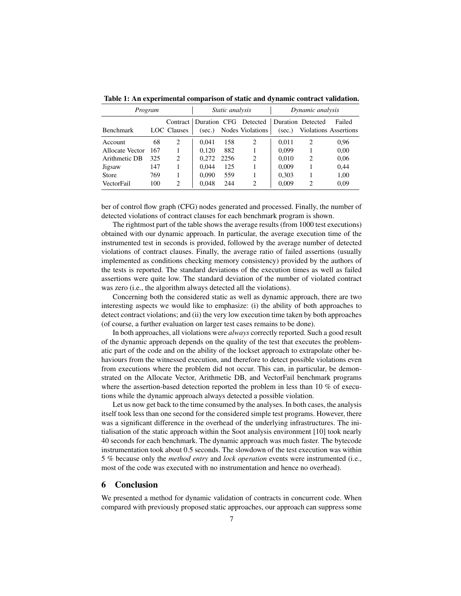| Program          |     |                             | Static analysis |      |                                                      | Dynamic analysis |                   |                                        |
|------------------|-----|-----------------------------|-----------------|------|------------------------------------------------------|------------------|-------------------|----------------------------------------|
| <b>Benchmark</b> |     | LOC Clauses                 | (sec.)          |      | Contract   Duration CFG Detected<br>Nodes Violations | (sec.)           | Duration Detected | Failed<br><b>Violations Assertions</b> |
| <b>Account</b>   | 68  | 2                           | 0.041           | 158  | 2                                                    | 0.011            | $\overline{c}$    | 0.96                                   |
| Allocate Vector  | 167 |                             | 0.120           | 882  |                                                      | 0.099            |                   | 0,00                                   |
| Arithmetic DB    | 325 | $\mathcal{D}_{\mathcal{L}}$ | 0.272           | 2256 | 2                                                    | 0.010            | $\overline{c}$    | 0,06                                   |
| Jigsaw           | 147 |                             | 0.044           | 125  |                                                      | 0.009            |                   | 0.44                                   |
| <b>Store</b>     | 769 |                             | 0.090           | 559  |                                                      | 0,303            |                   | 1,00                                   |
| VectorFail       | 100 | $\mathcal{D}_{\mathcal{L}}$ | 0.048           | 244  | 2                                                    | 0,009            | 2                 | 0.09                                   |

Table 1: An experimental comparison of static and dynamic contract validation.

ber of control flow graph (CFG) nodes generated and processed. Finally, the number of detected violations of contract clauses for each benchmark program is shown.

The rightmost part of the table shows the average results (from 1000 test executions) obtained with our dynamic approach. In particular, the average execution time of the instrumented test in seconds is provided, followed by the average number of detected violations of contract clauses. Finally, the average ratio of failed assertions (usually implemented as conditions checking memory consistency) provided by the authors of the tests is reported. The standard deviations of the execution times as well as failed assertions were quite low. The standard deviation of the number of violated contract was zero (i.e., the algorithm always detected all the violations).

Concerning both the considered static as well as dynamic approach, there are two interesting aspects we would like to emphasize: (i) the ability of both approaches to detect contract violations; and (ii) the very low execution time taken by both approaches (of course, a further evaluation on larger test cases remains to be done).

In both approaches, all violations were *always* correctly reported. Such a good result of the dynamic approach depends on the quality of the test that executes the problematic part of the code and on the ability of the lockset approach to extrapolate other behaviours from the witnessed execution, and therefore to detect possible violations even from executions where the problem did not occur. This can, in particular, be demonstrated on the Allocate Vector, Arithmetic DB, and VectorFail benchmark programs where the assertion-based detection reported the problem in less than 10 % of executions while the dynamic approach always detected a possible violation.

Let us now get back to the time consumed by the analyses. In both cases, the analysis itself took less than one second for the considered simple test programs. However, there was a significant difference in the overhead of the underlying infrastructures. The initialisation of the static approach within the Soot analysis environment [10] took nearly 40 seconds for each benchmark. The dynamic approach was much faster. The bytecode instrumentation took about 0.5 seconds. The slowdown of the test execution was within 5 % because only the *method entry* and *lock operation* events were instrumented (i.e., most of the code was executed with no instrumentation and hence no overhead).

# 6 Conclusion

We presented a method for dynamic validation of contracts in concurrent code. When compared with previously proposed static approaches, our approach can suppress some